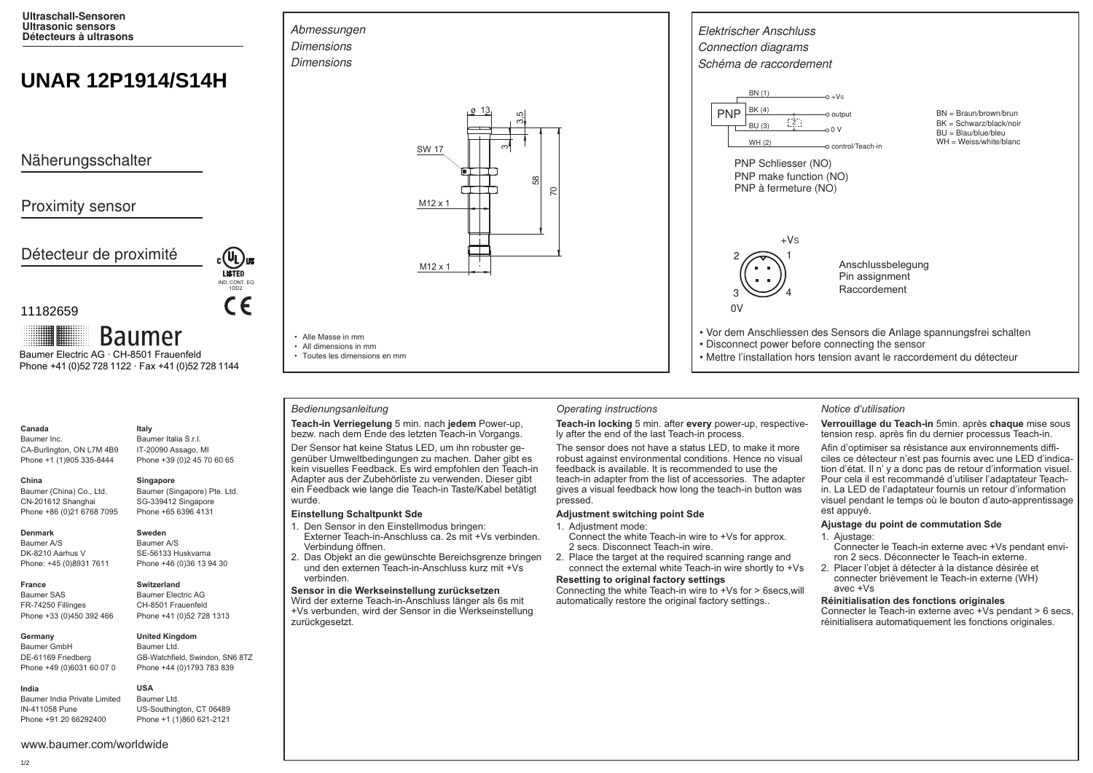**Ultraschall-Sensoren Ultrasonic sensors Détecteurs à ultrasons**

# **UNAR 12P1914/S14H**

Näherungsschalter

# Proximity sensor

Détecteur de proximité

## 11182659

**Baumer** Baumer Electric AG · CH-8501 Frauenfeld Phone +41 (0)52 728 1122 · Fax +41 (0)52 728 1144

### **Canada**

Baumer Inc. CA-Burlington, ON L7M 4B9 Phone +1 (1)905 335-8444 **Italy** Baumer Italia S.r.l.

> Baumer (Singapore) Pte. Ltd. SG-339412 Singapore

#### **Denmark**

**China** 

Baumer A/S DK-8210 Aarhus V Phone: +45 (0)8931 7611

Baumer (China) Co., Ltd. CN-201612 Shanghai Phone +86 (0)21 6768 7095

**France** Baumer SAS FR-74250 Fillinges Phone +33 (0)450 392 466

#### **Germany**  Baumer GmbH

## Phone +49 (0)6031 60 07 0 **United Kingdom** Baumer Ltd.

GB-Watchfield, Swindon, SN6 8TZ

# **India**

DE-61169 Friedberg

Baumer India Private Limited IN-411058 Pune Phone +91 20 66292400

## IT-20090 Assago, MI Phone +39 (0)2 45 70 60 65 **Singapore**

Phone +65 6396 4131

IND. CONT. EQ 1DD2

 $\epsilon$ 

**LISTED** 

**Sweden** Baumer A/S SE-56133 Huskvarna Phone +46 (0)36 13 94 30

# **Switzerland**

Baumer Electric AG CH-8501 Frauenfeld Phone +41 (0)52 728 1313



# Phone +44 (0)1793 783 839

**USA** Baumer Ltd. US-Southington, CT 06489 Phone +1 (1)860 621-2121



### *Bedienungsanleitung Operating instructions Notice d'utilisation*

#### **Teach-in Verriegelung** 5 min. nach **jedem** Power-up, bezw. nach dem Ende des letzten Teach-in Vorgangs.

Der Sensor hat keine Status LED, um ihn robuster gegenüber Umweltbedingungen zu machen. Daher gibt es kein visuelles Feedback. Es wird empfohlen den Teach-in Adapter aus der Zubehörliste zu verwenden. Dieser gibt ein Feedback wie lange die Teach-in Taste/Kabel betätigt wurde.

#### **Einstellung Schaltpunkt Sde**

1. Den Sensor in den Einstellmodus bringen:

Externer Teach-in-Anschluss ca. 2s mit +Vs verbinden. Verbindung öffnen.

2. Das Objekt an die gewünschte Bereichsgrenze bringen und den externen Teach-in-Anschluss kurz mit +Vs verbinden.

#### **Sensor in die Werkseinstellung zurücksetzen**

Wird der externe Teach-in-Anschluss länger als 6s mit +Vs verbunden, wird der Sensor in die Werkseinstellung zurückgesetzt.



**Teach-in locking** 5 min. after **every** power-up, respectively after the end of the last Teach-in process.

The sensor does not have a status LED, to make it more robust against environmental conditions. Hence no visual feedback is available. It is recommended to use the teach-in adapter from the list of accessories. The adapter gives a visual feedback how long the teach-in button was pressed.

#### **Adjustment switching point Sde**

#### 1. Adjustment mode:

- Connect the white Teach-in wire to +Vs for approx. 2 secs. Disconnect Teach-in wire.
- 2. Place the target at the required scanning range and connect the external white Teach-in wire shortly to +Vs

#### **Resetting to original factory settings**

Connecting the white Teach-in wire to +Vs for > 6secs,will automatically restore the original factory settings..

**Verrouillage du Teach-in** 5min. après **chaque** mise sous tension resp. après fin du dernier processus Teach-in.

Afin d'optimiser sa résistance aux environnements difficiles ce détecteur n'est pas fournis avec une LED d'indication d'état. Il n' y a donc pas de retour d'information visuel. Pour cela il est recommandé d'utiliser l'adaptateur Teachin. La LED de l'adaptateur fournis un retour d'information visuel pendant le temps où le bouton d'auto-apprentissage est appuyé.

### **Ajustage du point de commutation Sde**

- 1. Ajustage:
- Connecter le Teach-in externe avec +Vs pendant environ 2 secs. Déconnecter le Teach-in externe.
- 2. Placer l'objet à détecter à la distance désirée et connecter brièvement le Teach-in externe (WH) avec +Vs

### **Réinitialisation des fonctions originales**

Connecter le Teach-in externe avec +Vs pendant > 6 secs, réinitialisera automatiquement les fonctions originales.